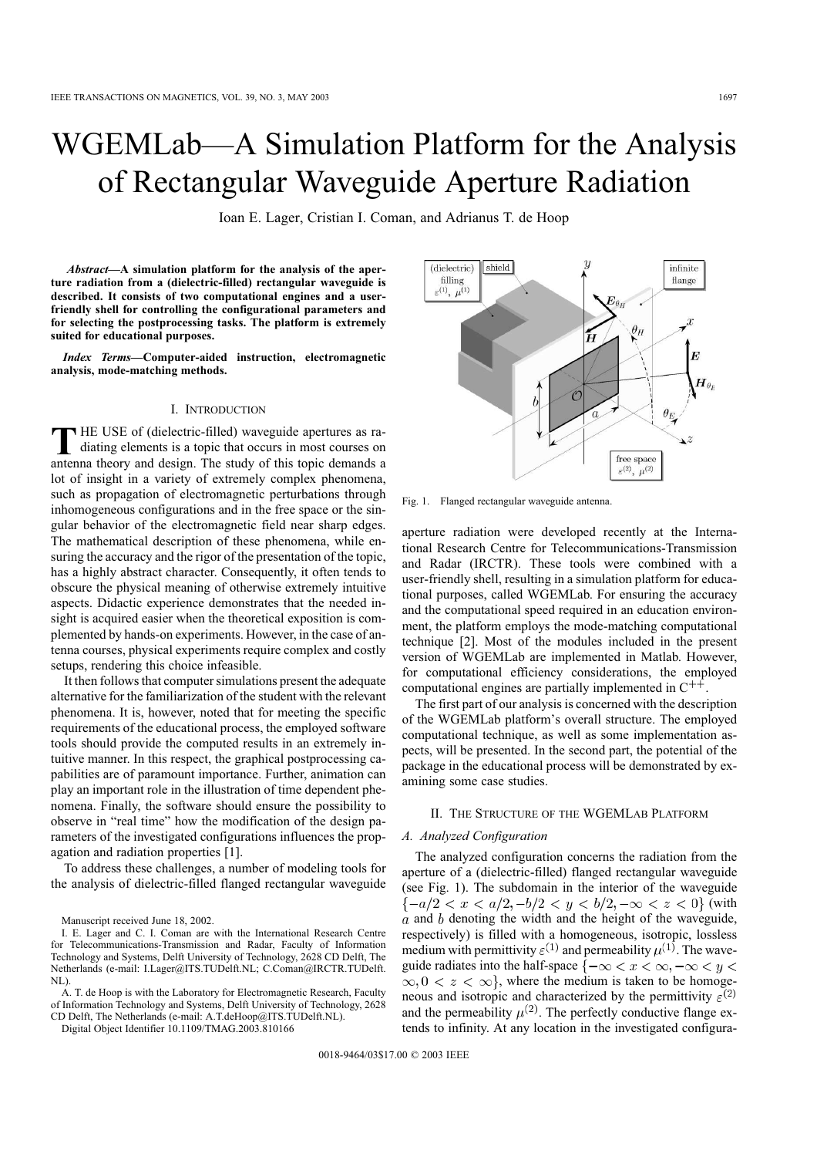# WGEMLab—A Simulation Platform for the Analysis of Rectangular Waveguide Aperture Radiation

Ioan E. Lager, Cristian I. Coman, and Adrianus T. de Hoop

(dielectric)

filling<br> $\varepsilon^{(1)}, \ \mu^{(1)}$ 

shield

*Abstract—***A simulation platform for the analysis of the aperture radiation from a (dielectric-filled) rectangular waveguide is described. It consists of two computational engines and a userfriendly shell for controlling the configurational parameters and for selecting the postprocessing tasks. The platform is extremely suited for educational purposes.**

*Index Terms—***Computer-aided instruction, electromagnetic analysis, mode-matching methods.**

## I. INTRODUCTION

**T HE USE** of (dielectric-filled) waveguide apertures as radiating elements is a topic that occurs in most courses on antenna theory and design. The study of this topic demands a HE USE of (dielectric-filled) waveguide apertures as radiating elements is a topic that occurs in most courses on lot of insight in a variety of extremely complex phenomena, such as propagation of electromagnetic perturbations through inhomogeneous configurations and in the free space or the singular behavior of the electromagnetic field near sharp edges. The mathematical description of these phenomena, while ensuring the accuracy and the rigor of the presentation of the topic, has a highly abstract character. Consequently, it often tends to obscure the physical meaning of otherwise extremely intuitive aspects. Didactic experience demonstrates that the needed insight is acquired easier when the theoretical exposition is complemented by hands-on experiments. However, in the case of antenna courses, physical experiments require complex and costly setups, rendering this choice infeasible.

It then follows that computer simulations present the adequate alternative for the familiarization of the student with the relevant phenomena. It is, however, noted that for meeting the specific requirements of the educational process, the employed software tools should provide the computed results in an extremely intuitive manner. In this respect, the graphical postprocessing capabilities are of paramount importance. Further, animation can play an important role in the illustration of time dependent phenomena. Finally, the software should ensure the possibility to observe in "real time" how the modification of the design parameters of the investigated configurations influences the propagation and radiation properties [1].

To address these challenges, a number of modeling tools for the analysis of dielectric-filled flanged rectangular waveguide

A. T. de Hoop is with the Laboratory for Electromagnetic Research, Faculty of Information Technology and Systems, Delft University of Technology, 2628 CD Delft, The Netherlands (e-mail: A.T.deHoop@ITS.TUDelft.NL).

Digital Object Identifier 10.1109/TMAG.2003.810166



tional Research Centre for Telecommunications-Transmission and Radar (IRCTR). These tools were combined with a user-friendly shell, resulting in a simulation platform for educational purposes, called WGEMLab. For ensuring the accuracy and the computational speed required in an education environment, the platform employs the mode-matching computational technique [2]. Most of the modules included in the present version of WGEMLab are implemented in Matlab. However, for computational efficiency considerations, the employed computational engines are partially implemented in  $C^{++}$ .

The first part of our analysis is concerned with the description of the WGEMLab platform's overall structure. The employed computational technique, as well as some implementation aspects, will be presented. In the second part, the potential of the package in the educational process will be demonstrated by examining some case studies.

#### II. THE STRUCTURE OF THE WGEMLAB PLATFORM

#### *A. Analyzed Configuration*

The analyzed configuration concerns the radiation from the aperture of a (dielectric-filled) flanged rectangular waveguide (see Fig. 1). The subdomain in the interior of the waveguide  $\{-a/2 < x < a/2, -b/2 < y < b/2, -\infty < z < 0\}$  (with  $a$  and  $b$  denoting the width and the height of the waveguide, respectively) is filled with a homogeneous, isotropic, lossless medium with permittivity  $\varepsilon^{(1)}$  and permeability  $\mu^{(1)}$ . The waveguide radiates into the half-space  $\{-\infty < x < \infty, -\infty < y < \}$  $\infty$ ,  $0 < z < \infty$ , where the medium is taken to be homogeneous and isotropic and characterized by the permittivity  $\varepsilon^{(2)}$ and the permeability  $\mu^{(2)}$ . The perfectly conductive flange extends to infinity. At any location in the investigated configura-

infinite

flange

Manuscript received June 18, 2002.

I. E. Lager and C. I. Coman are with the International Research Centre for Telecommunications-Transmission and Radar, Faculty of Information Technology and Systems, Delft University of Technology, 2628 CD Delft, The Netherlands (e-mail: I.Lager@ITS.TUDelft.NL; C.Coman@IRCTR.TUDelft. NL).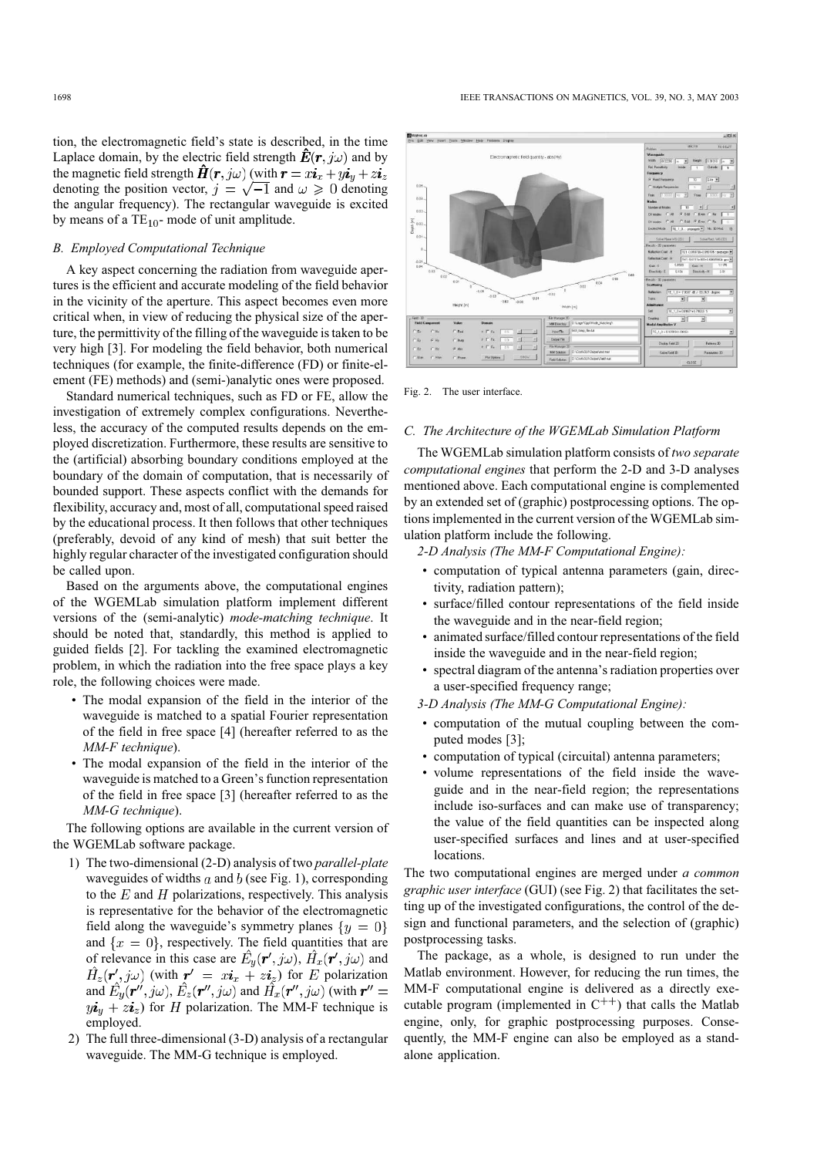tion, the electromagnetic field's state is described, in the time Laplace domain, by the electric field strength  $\hat{E}(\mathbf{r}, j\omega)$  and by the magnetic field strength  $\hat{H}(\mathbf{r},j\omega)$  (with  $\mathbf{r} = x\mathbf{i}_x + y\mathbf{i}_y + z\mathbf{i}_z$ denoting the position vector,  $j = \sqrt{-1}$  and  $\omega \ge 0$  denoting the angular frequency). The rectangular waveguide is excited by means of a  $TE_{10}$ - mode of unit amplitude.

# *B. Employed Computational Technique*

A key aspect concerning the radiation from waveguide apertures is the efficient and accurate modeling of the field behavior in the vicinity of the aperture. This aspect becomes even more critical when, in view of reducing the physical size of the aperture, the permittivity of the filling of the waveguide is taken to be very high [3]. For modeling the field behavior, both numerical techniques (for example, the finite-difference (FD) or finite-element (FE) methods) and (semi-)analytic ones were proposed.

Standard numerical techniques, such as FD or FE, allow the investigation of extremely complex configurations. Nevertheless, the accuracy of the computed results depends on the employed discretization. Furthermore, these results are sensitive to the (artificial) absorbing boundary conditions employed at the boundary of the domain of computation, that is necessarily of bounded support. These aspects conflict with the demands for flexibility, accuracy and, most of all, computational speed raised by the educational process. It then follows that other techniques (preferably, devoid of any kind of mesh) that suit better the highly regular character of the investigated configuration should be called upon.

Based on the arguments above, the computational engines of the WGEMLab simulation platform implement different versions of the (semi-analytic) *mode-matching technique*. It should be noted that, standardly, this method is applied to guided fields [2]. For tackling the examined electromagnetic problem, in which the radiation into the free space plays a key role, the following choices were made.

- The modal expansion of the field in the interior of the waveguide is matched to a spatial Fourier representation of the field in free space [4] (hereafter referred to as the *MM-F technique*).
- The modal expansion of the field in the interior of the waveguide is matched to a Green's function representation of the field in free space [3] (hereafter referred to as the *MM-G technique*).

The following options are available in the current version of the WGEMLab software package.

- 1) The two-dimensional (2-D) analysis of two *parallel-plate* waveguides of widths  $a$  and  $b$  (see Fig. 1), corresponding to the  $E$  and  $H$  polarizations, respectively. This analysis is representative for the behavior of the electromagnetic field along the waveguide's symmetry planes  $\{y = 0\}$ and  $\{x = 0\}$ , respectively. The field quantities that are of relevance in this case are  $\hat{E}_y(\mathbf{r}', j\omega)$ ,  $\hat{H}_x(\mathbf{r}', j\omega)$  and  $\hat{H}_z(\mathbf{r}',j\omega)$  (with  $\mathbf{r}' = x\mathbf{i}_x + z\mathbf{i}_z$ ) for E polarization and  $\hat{E_y}(\mathbf{r}'', j\omega)$ ,  $\hat{E_z}(\mathbf{r}'', j\omega)$  and  $\hat{H_x}(\mathbf{r}'', j\omega)$  (with  $\mathbf{r}'' =$  $y\dot{i}_y + z\dot{i}_z$  for H polarization. The MM-F technique is employed.
- 2) The full three-dimensional (3-D) analysis of a rectangular waveguide. The MM-G technique is employed.



Fig. 2. The user interface.

## *C. The Architecture of the WGEMLab Simulation Platform*

The WGEMLab simulation platform consists of *two separate computational engines* that perform the 2-D and 3-D analyses mentioned above. Each computational engine is complemented by an extended set of (graphic) postprocessing options. The options implemented in the current version of the WGEMLab simulation platform include the following.

*2-D Analysis (The MM-F Computational Engine):*

- computation of typical antenna parameters (gain, directivity, radiation pattern);
- surface/filled contour representations of the field inside the waveguide and in the near-field region;
- animated surface/filled contour representations of the field inside the waveguide and in the near-field region;
- spectral diagram of the antenna's radiation properties over a user-specified frequency range;
- *3-D Analysis (The MM-G Computational Engine):*
- computation of the mutual coupling between the computed modes [3];
- computation of typical (circuital) antenna parameters;
- volume representations of the field inside the waveguide and in the near-field region; the representations include iso-surfaces and can make use of transparency; the value of the field quantities can be inspected along user-specified surfaces and lines and at user-specified locations.

The two computational engines are merged under *a common graphic user interface* (GUI) (see Fig. 2) that facilitates the setting up of the investigated configurations, the control of the design and functional parameters, and the selection of (graphic) postprocessing tasks.

The package, as a whole, is designed to run under the Matlab environment. However, for reducing the run times, the MM-F computational engine is delivered as a directly executable program (implemented in  $C^{++}$ ) that calls the Matlab engine, only, for graphic postprocessing purposes. Consequently, the MM-F engine can also be employed as a standalone application.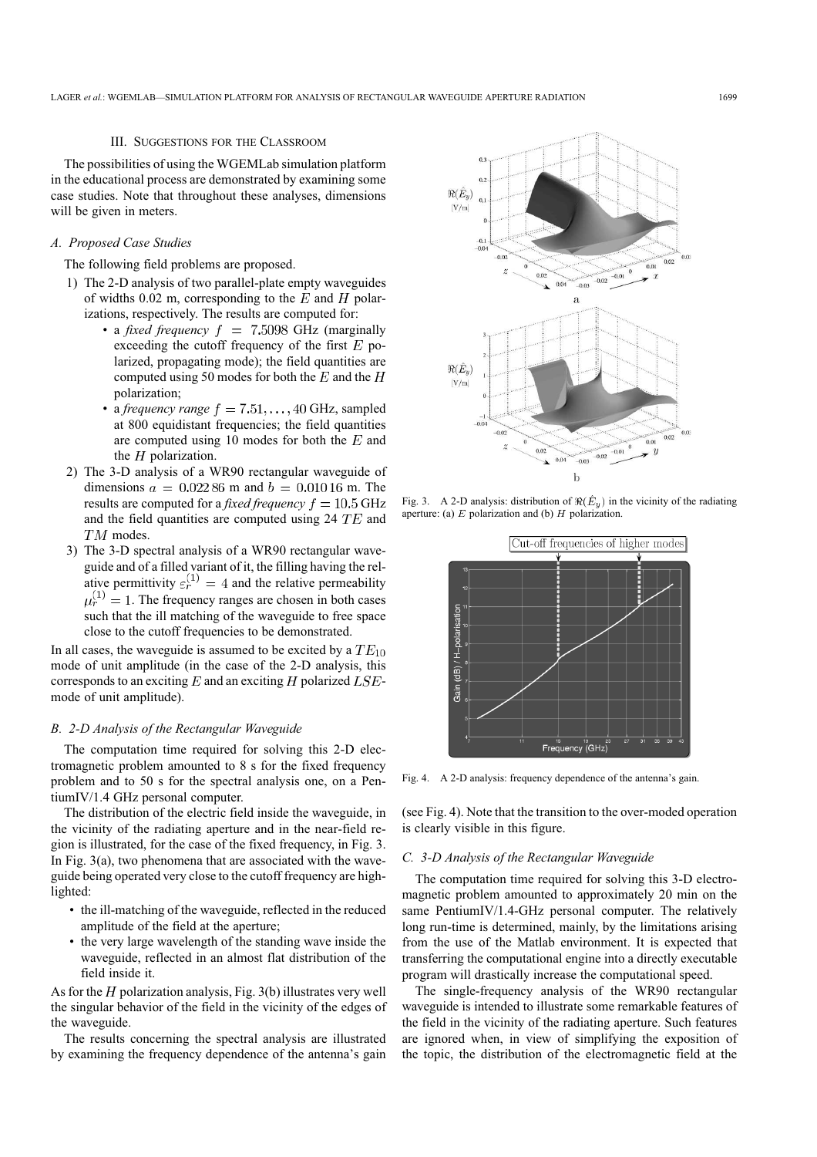# III. SUGGESTIONS FOR THE CLASSROOM

The possibilities of using the WGEMLab simulation platform in the educational process are demonstrated by examining some case studies. Note that throughout these analyses, dimensions will be given in meters.

# *A. Proposed Case Studies*

The following field problems are proposed.

- 1) The 2-D analysis of two parallel-plate empty waveguides of widths 0.02 m, corresponding to the  $E$  and  $H$  polarizations, respectively. The results are computed for:
	- a *fixed frequency*  $f = 7.5098$  GHz (marginally exceeding the cutoff frequency of the first  $E$  polarized, propagating mode); the field quantities are computed using 50 modes for both the  $E$  and the  $H$ polarization;
	- a *frequency range*  $f = 7.51, \ldots, 40$  GHz, sampled at 800 equidistant frequencies; the field quantities are computed using 10 modes for both the  $E$  and the  $H$  polarization.
- 2) The 3-D analysis of a WR90 rectangular waveguide of dimensions  $a = 0.02286$  m and  $b = 0.01016$  m. The results are computed for a *fixed frequency*  $f = 10.5$  GHz and the field quantities are computed using  $24$   $TE$  and  $TM$  modes.
- 3) The 3-D spectral analysis of a WR90 rectangular waveguide and of a filled variant of it, the filling having the relative permittivity  $\varepsilon_r^{(1)} = 4$  and the relative permeability  $\mu_r^{(1)} = 1$ . The frequency ranges are chosen in both cases such that the ill matching of the waveguide to free space close to the cutoff frequencies to be demonstrated.

In all cases, the waveguide is assumed to be excited by a  $TE_{10}$ mode of unit amplitude (in the case of the 2-D analysis, this corresponds to an exciting  $E$  and an exciting  $H$  polarized  $LSE$ mode of unit amplitude).

# *B. 2-D Analysis of the Rectangular Waveguide*

The computation time required for solving this 2-D electromagnetic problem amounted to 8 s for the fixed frequency problem and to 50 s for the spectral analysis one, on a PentiumIV/1.4 GHz personal computer.

The distribution of the electric field inside the waveguide, in the vicinity of the radiating aperture and in the near-field region is illustrated, for the case of the fixed frequency, in Fig. 3. In Fig.  $3(a)$ , two phenomena that are associated with the waveguide being operated very close to the cutoff frequency are highlighted:

- the ill-matching of the waveguide, reflected in the reduced amplitude of the field at the aperture;
- the very large wavelength of the standing wave inside the waveguide, reflected in an almost flat distribution of the field inside it.

As for the  $H$  polarization analysis, Fig. 3(b) illustrates very well the singular behavior of the field in the vicinity of the edges of the waveguide.

The results concerning the spectral analysis are illustrated by examining the frequency dependence of the antenna's gain



Fig. 3. A 2-D analysis: distribution of  $\Re(\hat{E}_u)$  in the vicinity of the radiating aperture: (a)  $E$  polarization and (b)  $H$  polarization.



Fig. 4. A 2-D analysis: frequency dependence of the antenna's gain.

(see Fig. 4). Note that the transition to the over-moded operation is clearly visible in this figure.

#### *C. 3-D Analysis of the Rectangular Waveguide*

The computation time required for solving this 3-D electromagnetic problem amounted to approximately 20 min on the same PentiumIV/1.4-GHz personal computer. The relatively long run-time is determined, mainly, by the limitations arising from the use of the Matlab environment. It is expected that transferring the computational engine into a directly executable program will drastically increase the computational speed.

The single-frequency analysis of the WR90 rectangular waveguide is intended to illustrate some remarkable features of the field in the vicinity of the radiating aperture. Such features are ignored when, in view of simplifying the exposition of the topic, the distribution of the electromagnetic field at the